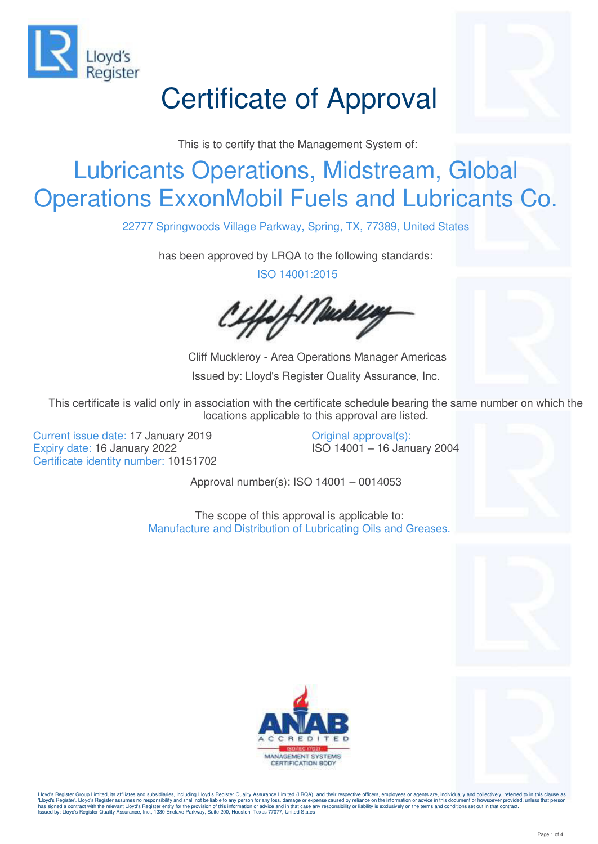

# Certificate of Approval

This is to certify that the Management System of:

### Lubricants Operations, Midstream, Global Operations ExxonMobil Fuels and Lubricants Co.

22777 Springwoods Village Parkway, Spring, TX, 77389, United States

has been approved by LRQA to the following standards:

ISO 14001:2015

f *Maakle* 

 Cliff Muckleroy - Area Operations Manager Americas Issued by: Lloyd's Register Quality Assurance, Inc.

This certificate is valid only in association with the certificate schedule bearing the same number on which the locations applicable to this approval are listed.

Current issue date: 17 January 2019 Expiry date: 16 January 2022 Certificate identity number: 10151702 Original approval(s): ISO 14001 – 16 January 2004

Approval number(s): ISO 14001 – 0014053

The scope of this approval is applicable to: Manufacture and Distribution of Lubricating Oils and Greases.





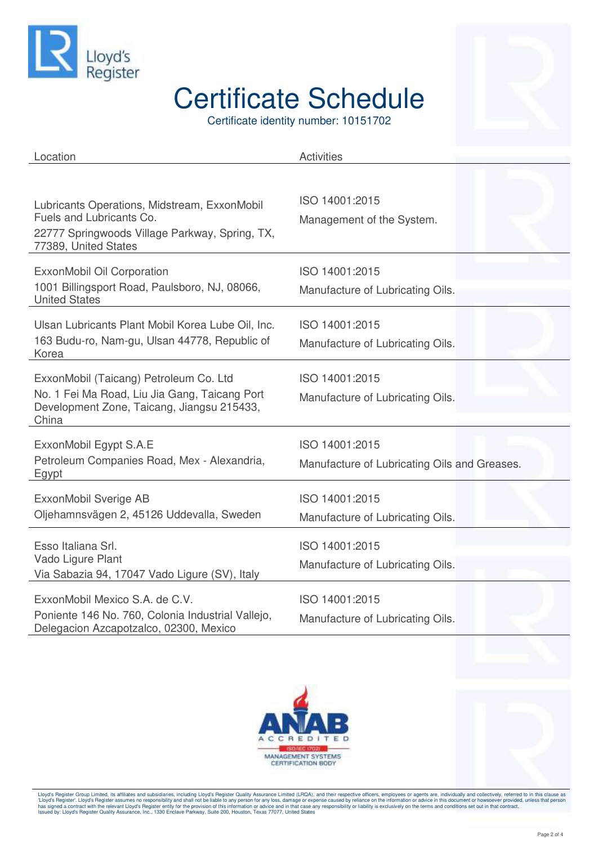

Certificate identity number: 10151702



| Location                                                                                                                                           | <b>Activities</b>                                              |
|----------------------------------------------------------------------------------------------------------------------------------------------------|----------------------------------------------------------------|
| Lubricants Operations, Midstream, ExxonMobil<br>Fuels and Lubricants Co.<br>22777 Springwoods Village Parkway, Spring, TX,<br>77389, United States | ISO 14001:2015<br>Management of the System.                    |
| ExxonMobil Oil Corporation<br>1001 Billingsport Road, Paulsboro, NJ, 08066,<br><b>United States</b>                                                | ISO 14001:2015<br>Manufacture of Lubricating Oils.             |
| Ulsan Lubricants Plant Mobil Korea Lube Oil, Inc.<br>163 Budu-ro, Nam-gu, Ulsan 44778, Republic of<br>Korea                                        | ISO 14001:2015<br>Manufacture of Lubricating Oils.             |
| ExxonMobil (Taicang) Petroleum Co. Ltd<br>No. 1 Fei Ma Road, Liu Jia Gang, Taicang Port<br>Development Zone, Taicang, Jiangsu 215433,<br>China     | ISO 14001:2015<br>Manufacture of Lubricating Oils.             |
| ExxonMobil Egypt S.A.E<br>Petroleum Companies Road, Mex - Alexandria,<br>Egypt                                                                     | ISO 14001:2015<br>Manufacture of Lubricating Oils and Greases. |
| ExxonMobil Sverige AB<br>Oljehamnsvägen 2, 45126 Uddevalla, Sweden                                                                                 | ISO 14001:2015<br>Manufacture of Lubricating Oils.             |
| Esso Italiana Srl.<br>Vado Ligure Plant<br>Via Sabazia 94, 17047 Vado Ligure (SV), Italy                                                           | ISO 14001:2015<br>Manufacture of Lubricating Oils.             |
| ExxonMobil Mexico S.A. de C.V.<br>Poniente 146 No. 760, Colonia Industrial Vallejo,<br>Delegacion Azcapotzalco, 02300, Mexico                      | ISO 14001:2015<br>Manufacture of Lubricating Oils.             |



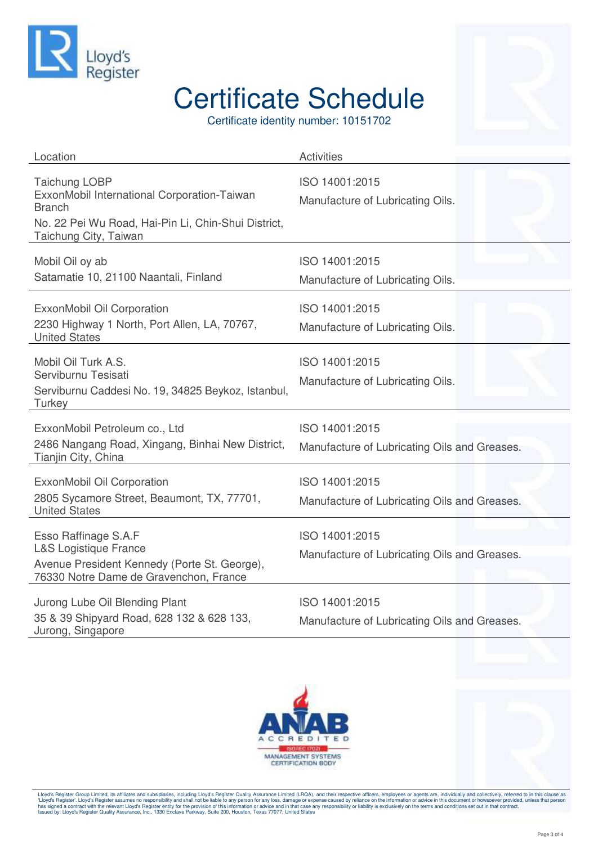

Certificate identity number: 10151702

| Location                                                                                                                                                             | <b>Activities</b>                                              |
|----------------------------------------------------------------------------------------------------------------------------------------------------------------------|----------------------------------------------------------------|
| <b>Taichung LOBP</b><br>ExxonMobil International Corporation-Taiwan<br><b>Branch</b><br>No. 22 Pei Wu Road, Hai-Pin Li, Chin-Shui District,<br>Taichung City, Taiwan | ISO 14001:2015<br>Manufacture of Lubricating Oils.             |
| Mobil Oil oy ab<br>Satamatie 10, 21100 Naantali, Finland                                                                                                             | ISO 14001:2015<br>Manufacture of Lubricating Oils.             |
| ExxonMobil Oil Corporation<br>2230 Highway 1 North, Port Allen, LA, 70767,<br><b>United States</b>                                                                   | ISO 14001:2015<br>Manufacture of Lubricating Oils.             |
| Mobil Oil Turk A.S.<br>Serviburnu Tesisati<br>Serviburnu Caddesi No. 19, 34825 Beykoz, Istanbul,<br>Turkey                                                           | ISO 14001:2015<br>Manufacture of Lubricating Oils.             |
| ExxonMobil Petroleum co., Ltd<br>2486 Nangang Road, Xingang, Binhai New District,<br>Tianjin City, China                                                             | ISO 14001:2015<br>Manufacture of Lubricating Oils and Greases. |
| ExxonMobil Oil Corporation<br>2805 Sycamore Street, Beaumont, TX, 77701,<br><b>United States</b>                                                                     | ISO 14001:2015<br>Manufacture of Lubricating Oils and Greases. |
| Esso Raffinage S.A.F<br><b>L&amp;S Logistique France</b><br>Avenue President Kennedy (Porte St. George),<br>76330 Notre Dame de Gravenchon, France                   | ISO 14001:2015<br>Manufacture of Lubricating Oils and Greases. |
| Jurong Lube Oil Blending Plant<br>35 & 39 Shipyard Road, 628 132 & 628 133,<br>Jurong, Singapore                                                                     | ISO 14001:2015<br>Manufacture of Lubricating Oils and Greases. |



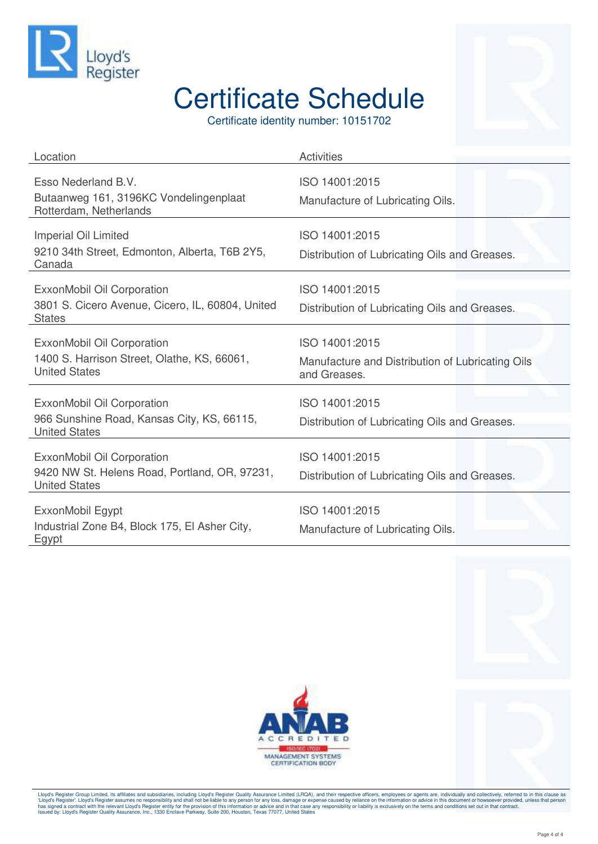

Certificate identity number: 10151702

| Location                                                                                            | <b>Activities</b>                                                                  |
|-----------------------------------------------------------------------------------------------------|------------------------------------------------------------------------------------|
| Esso Nederland B.V.<br>Butaanweg 161, 3196KC Vondelingenplaat<br>Rotterdam, Netherlands             | ISO 14001:2015<br>Manufacture of Lubricating Oils.                                 |
| Imperial Oil Limited<br>9210 34th Street, Edmonton, Alberta, T6B 2Y5,<br>Canada                     | ISO 14001:2015<br>Distribution of Lubricating Oils and Greases.                    |
| ExxonMobil Oil Corporation<br>3801 S. Cicero Avenue, Cicero, IL, 60804, United<br><b>States</b>     | ISO 14001:2015<br>Distribution of Lubricating Oils and Greases.                    |
| ExxonMobil Oil Corporation<br>1400 S. Harrison Street, Olathe, KS, 66061,<br><b>United States</b>   | ISO 14001:2015<br>Manufacture and Distribution of Lubricating Oils<br>and Greases. |
| ExxonMobil Oil Corporation<br>966 Sunshine Road, Kansas City, KS, 66115,<br><b>United States</b>    | ISO 14001:2015<br>Distribution of Lubricating Oils and Greases.                    |
| ExxonMobil Oil Corporation<br>9420 NW St. Helens Road, Portland, OR, 97231,<br><b>United States</b> | ISO 14001:2015<br>Distribution of Lubricating Oils and Greases.                    |
| ExxonMobil Egypt<br>Industrial Zone B4, Block 175, El Asher City,<br>Egypt                          | ISO 14001:2015<br>Manufacture of Lubricating Oils.                                 |



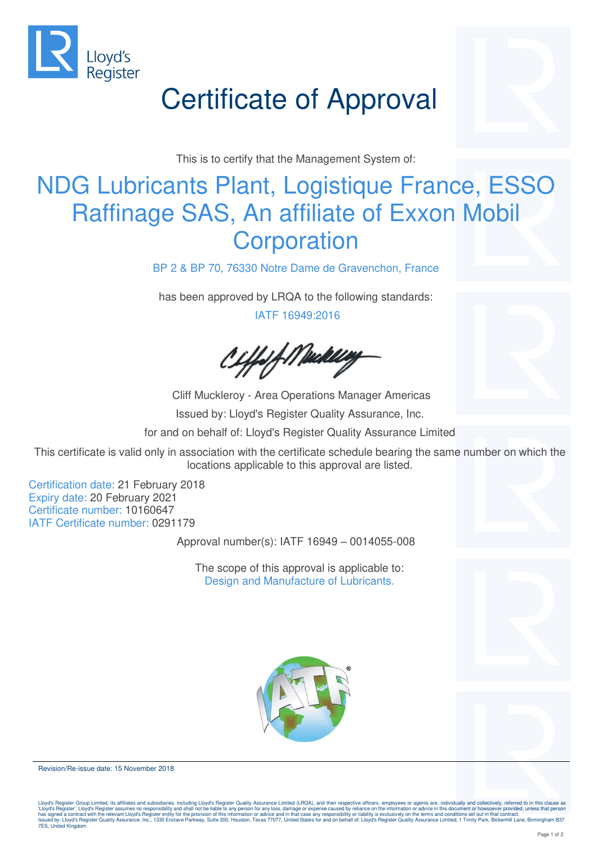

# Certificate of Approval

This is to certify that the Management System of:

### NDG Lubricants Plant, Logistique France, ESSO Raffinage SAS, An affiliate of Exxon Mobil **Corporation**

BP 2 & BP 70, 76330 Notre Dame de Gravenchon, France

has been approved by LRQA to the following standards:

IATF 16949:2016

:ffsf://Wackley

 Cliff Muckleroy - Area Operations Manager Americas Issued by: Lloyd's Register Quality Assurance, Inc. for and on behalf of: Lloyd's Register Quality Assurance Limited

This certificate is valid only in association with the certificate schedule bearing the same number on which the locations applicable to this approval are listed.

Certification date: 21 February 2018 Expiry date: 20 February 2021 Certificate number: 10160647 IATF Certificate number: 0291179

Approval number(s): IATF 16949 – 0014055-008

The scope of this approval is applicable to: Design and Manufacture of Lubricants.





Revision/Re-issue date: 15 November 2018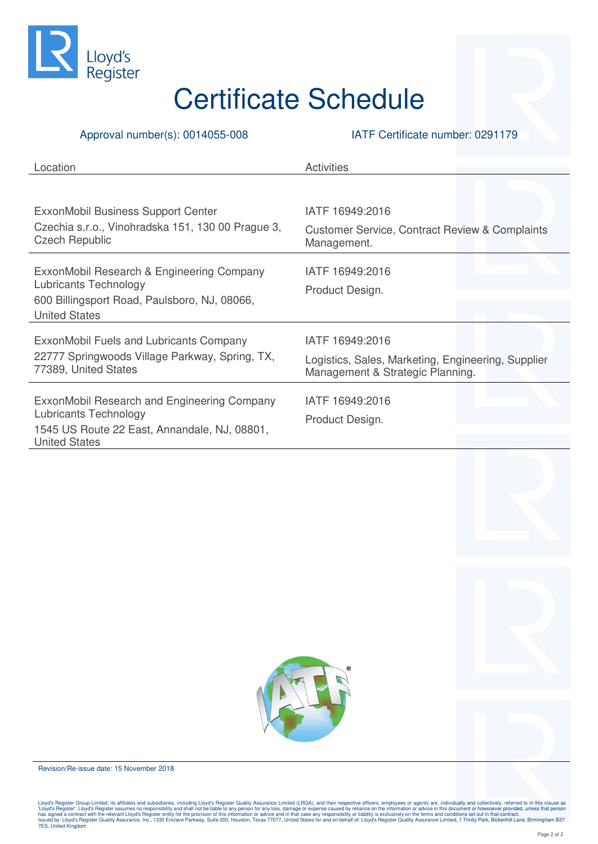

#### Approval number(s): 0014055-008 IATF Certificate number: 0291179

| Location                                                                   | <b>Activities</b>                                                                      |
|----------------------------------------------------------------------------|----------------------------------------------------------------------------------------|
|                                                                            |                                                                                        |
| ExxonMobil Business Support Center                                         | IATF 16949:2016                                                                        |
| Czechia s.r.o., Vinohradska 151, 130 00 Prague 3,<br><b>Czech Republic</b> | <b>Customer Service, Contract Review &amp; Complaints</b><br>Management.               |
| ExxonMobil Research & Engineering Company                                  | IATF 16949:2016                                                                        |
| <b>Lubricants Technology</b>                                               | Product Design.                                                                        |
| 600 Billingsport Road, Paulsboro, NJ, 08066,<br><b>United States</b>       |                                                                                        |
| ExxonMobil Fuels and Lubricants Company                                    | IATF 16949:2016                                                                        |
| 22777 Springwoods Village Parkway, Spring, TX,<br>77389, United States     | Logistics, Sales, Marketing, Engineering, Supplier<br>Management & Strategic Planning. |
| ExxonMobil Research and Engineering Company<br>Lubricants Technology       | IATF 16949:2016<br>Product Design.                                                     |
| 1545 US Route 22 East, Annandale, NJ, 08801,<br><b>United States</b>       |                                                                                        |
|                                                                            |                                                                                        |

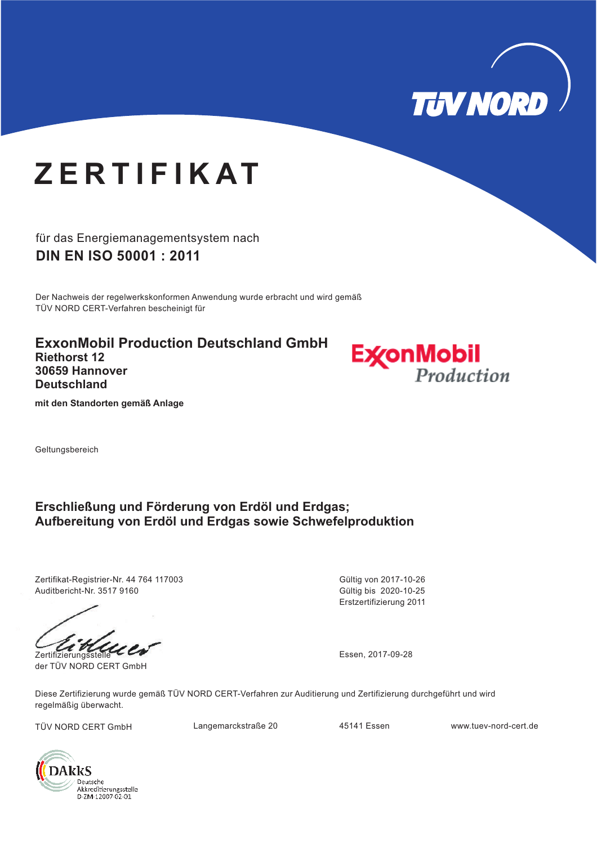

# **Z E R T I F I K AT**

für das Energiemanagementsystem nach **DIN EN ISO 50001 : 2011**

Der Nachweis der regelwerkskonformen Anwendung wurde erbracht und wird gemäß TÜV NORD CERT-Verfahren bescheinigt für

**ExxonMobil Production Deutschland GmbH Riethorst 12 30659 Hannover Deutschland**



**mit den Standorten gemäß Anlage**

Geltungsbereich

### **Erschließung und Förderung von Erdöl und Erdgas; Aufbereitung von Erdöl und Erdgas sowie Schwefelproduktion**

Zertifikat-Registrier-Nr. 44 764 117003 Auditbericht-Nr. 3517 9160

Zertifizierungsstelle Essen, 2017-09-28

der TÜV NORD CERT GmbH

Erstzertifizierung 2011 Gültig bis 2020-10-25 Gültig von 2017-10-26

Diese Zertifizierung wurde gemäß TÜV NORD CERT-Verfahren zur Auditierung und Zertifizierung durchgeführt und wird regelmäßig überwacht.

TÜV NORD CERT GmbH Langemarckstraße 20 45141 Essen www.tuev-nord-cert.de

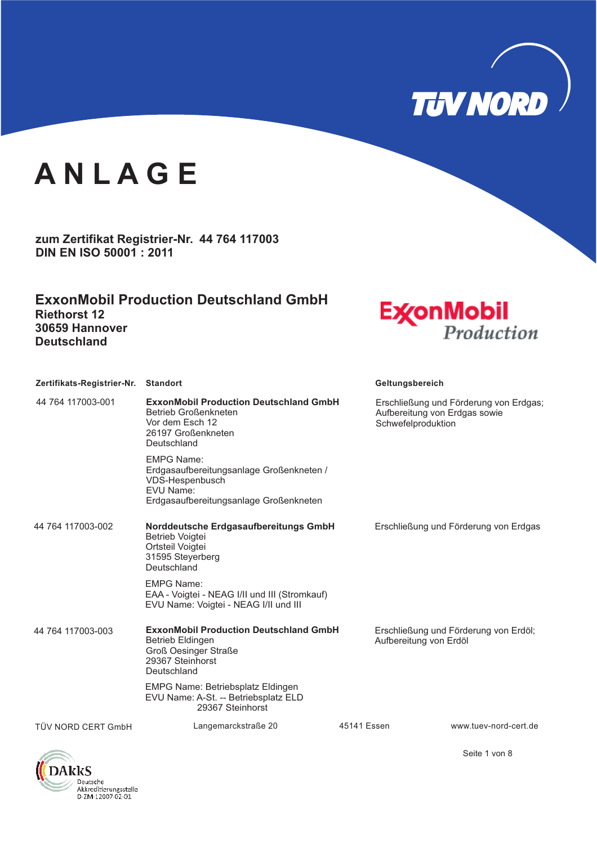

**zum Zertifikat Registrier-Nr. 44 764 117003 DIN EN ISO 50001 : 2011**

**ExxonMobil Production Deutschland GmbH Riethorst 12 30659 Hannover Deutschland**



| Zertifikats-Registrier-Nr. Standort |                                                                                                                                            | Geltungsbereich                                                                               |  |
|-------------------------------------|--------------------------------------------------------------------------------------------------------------------------------------------|-----------------------------------------------------------------------------------------------|--|
| 44 764 117003-001                   | <b>ExxonMobil Production Deutschland GmbH</b><br>Betrieb Großenkneten<br>Vor dem Esch 12<br>26197 Großenkneten<br>Deutschland              | Erschließung und Förderung von Erdgas;<br>Aufbereitung von Erdgas sowie<br>Schwefelproduktion |  |
|                                     | <b>EMPG Name:</b><br>Erdgasaufbereitungsanlage Großenkneten /<br>VDS-Hespenbusch<br>EVU Name:<br>Erdgasaufbereitungsanlage Großenkneten    |                                                                                               |  |
| 44 764 117003-002                   | Norddeutsche Erdgasaufbereitungs GmbH<br>Betrieb Voigtei<br>Ortsteil Voigtei<br>31595 Steyerberg<br>Deutschland                            | Erschließung und Förderung von Erdgas                                                         |  |
|                                     | <b>EMPG Name:</b><br>EAA - Voigtei - NEAG I/II und III (Stromkauf)<br>EVU Name: Voigtei - NEAG I/II und III                                |                                                                                               |  |
| 44 764 117003-003                   | <b>ExxonMobil Production Deutschland GmbH</b><br><b>Betrieb Eldingen</b><br><b>Groß Oesinger Straße</b><br>29367 Steinhorst<br>Deutschland | Erschließung und Förderung von Erdöl;<br>Aufbereitung von Erdöl                               |  |
|                                     | <b>EMPG Name: Betriebsplatz Eldingen</b><br>EVU Name: A-St. -- Betriebsplatz ELD<br>29367 Steinhorst                                       |                                                                                               |  |
| TÜV NORD CERT GmbH                  | Langemarckstraße 20                                                                                                                        | 45141 Essen<br>www.tuev-nord-cert.de                                                          |  |



Seite 1 von 8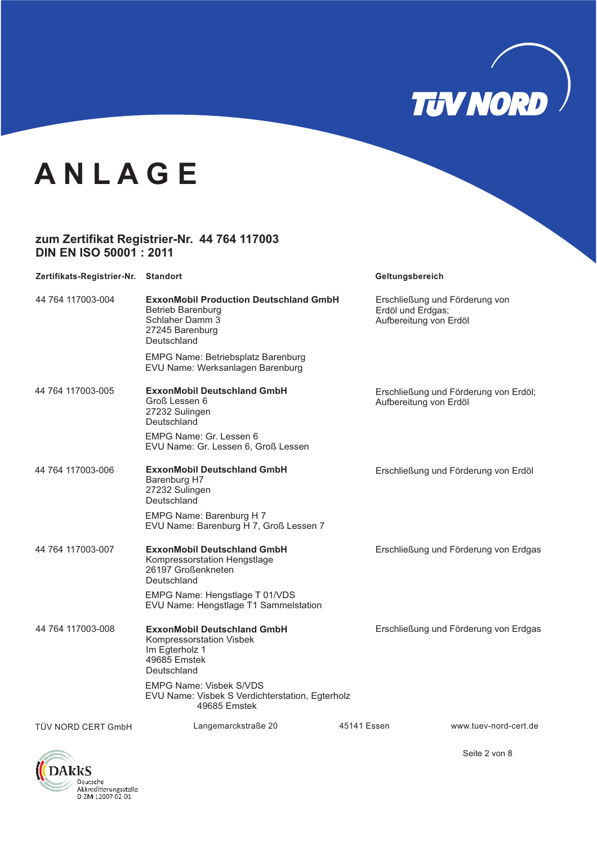

#### **zum Zertifikat Registrier-Nr. 44 764 117003 DIN EN ISO 50001 : 2011**

| Zertifikats-Registrier-Nr. Standort |                                                                                                                                | Geltungsbereich                             |                                       |
|-------------------------------------|--------------------------------------------------------------------------------------------------------------------------------|---------------------------------------------|---------------------------------------|
| 44 764 117003-004                   | <b>ExxonMobil Production Deutschland GmbH</b><br><b>Betrieb Barenburg</b><br>Schlaher Damm 3<br>27245 Barenburg<br>Deutschland | Erdöl und Erdgas;<br>Aufbereitung von Erdöl | Erschließung und Förderung von        |
|                                     | <b>EMPG Name: Betriebsplatz Barenburg</b><br>EVU Name: Werksanlagen Barenburg                                                  |                                             |                                       |
| 44 764 117003-005                   | ExxonMobil Deutschland GmbH<br>Groß Lessen 6<br>27232 Sulingen<br>Deutschland                                                  | Aufbereitung von Erdöl                      | Erschließung und Förderung von Erdöl; |
|                                     | EMPG Name: Gr. Lessen 6<br>EVU Name: Gr. Lessen 6, Groß Lessen                                                                 |                                             |                                       |
| 44 764 117003-006                   | <b>ExxonMobil Deutschland GmbH</b><br>Barenburg H7<br>27232 Sulingen<br>Deutschland                                            |                                             | Erschließung und Förderung von Erdöl  |
|                                     | EMPG Name: Barenburg H 7<br>EVU Name: Barenburg H 7, Groß Lessen 7                                                             |                                             |                                       |
| 44 764 117003-007                   | <b>ExxonMobil Deutschland GmbH</b><br>Kompressorstation Hengstlage<br>26197 Großenkneten<br>Deutschland                        |                                             | Erschließung und Förderung von Erdgas |
|                                     | EMPG Name: Hengstlage T 01/VDS<br>EVU Name: Hengstlage T1 Sammelstation                                                        |                                             |                                       |
| 44 764 117003-008                   | <b>ExxonMobil Deutschland GmbH</b><br>Kompressorstation Visbek<br>Im Egterholz 1<br>49685 Emstek<br>Deutschland                |                                             | Erschließung und Förderung von Erdgas |
|                                     | <b>EMPG Name: Visbek S/VDS</b><br>EVU Name: Visbek S Verdichterstation, Egterholz<br>49685 Emstek                              |                                             |                                       |
| TÜV NORD CERT GmbH                  | Langemarckstraße 20                                                                                                            | 45141 Essen                                 | www.tuev-nord-cert.de                 |



Seite 2 von 8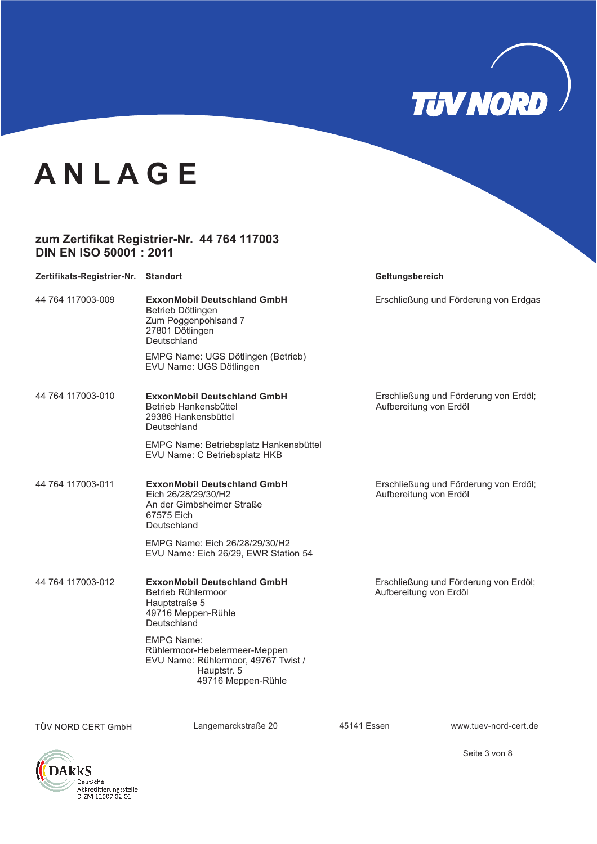

#### **zum Zertifikat Registrier-Nr. 44 764 117003 DIN EN ISO 50001 : 2011**

| Zertifikats-Registrier-Nr. Standort |                                                                                                                                | Geltungsbereich                                                 |
|-------------------------------------|--------------------------------------------------------------------------------------------------------------------------------|-----------------------------------------------------------------|
| 44 764 117003-009                   | <b>ExxonMobil Deutschland GmbH</b><br>Betrieb Dötlingen<br>Zum Poggenpohlsand 7<br>27801 Dötlingen<br>Deutschland              | Erschließung und Förderung von Erdgas                           |
|                                     | EMPG Name: UGS Dötlingen (Betrieb)<br>EVU Name: UGS Dötlingen                                                                  |                                                                 |
| 44 764 117003-010                   | <b>ExxonMobil Deutschland GmbH</b><br>Betrieb Hankensbüttel<br>29386 Hankensbüttel<br>Deutschland                              | Erschließung und Förderung von Erdöl;<br>Aufbereitung von Erdöl |
|                                     | EMPG Name: Betriebsplatz Hankensbüttel<br>EVU Name: C Betriebsplatz HKB                                                        |                                                                 |
| 44 764 117003-011                   | <b>ExxonMobil Deutschland GmbH</b><br>Eich 26/28/29/30/H2<br>An der Gimbsheimer Straße<br>67575 Eich<br>Deutschland            | Erschließung und Förderung von Erdöl;<br>Aufbereitung von Erdöl |
|                                     | EMPG Name: Eich 26/28/29/30/H2<br>EVU Name: Eich 26/29, EWR Station 54                                                         |                                                                 |
| 44 764 117003-012                   | <b>ExxonMobil Deutschland GmbH</b><br>Betrieb Rühlermoor<br>Hauptstraße 5<br>49716 Meppen-Rühle<br>Deutschland                 | Erschließung und Förderung von Erdöl;<br>Aufbereitung von Erdöl |
|                                     | <b>EMPG Name:</b><br>Rühlermoor-Hebelermeer-Meppen<br>EVU Name: Rühlermoor, 49767 Twist /<br>Hauptstr. 5<br>49716 Meppen-Rühle |                                                                 |

TÜV NORD CERT GmbH Langemarckstraße 20 45141 Essen www.tuev-nord-cert.de



Seite 3 von 8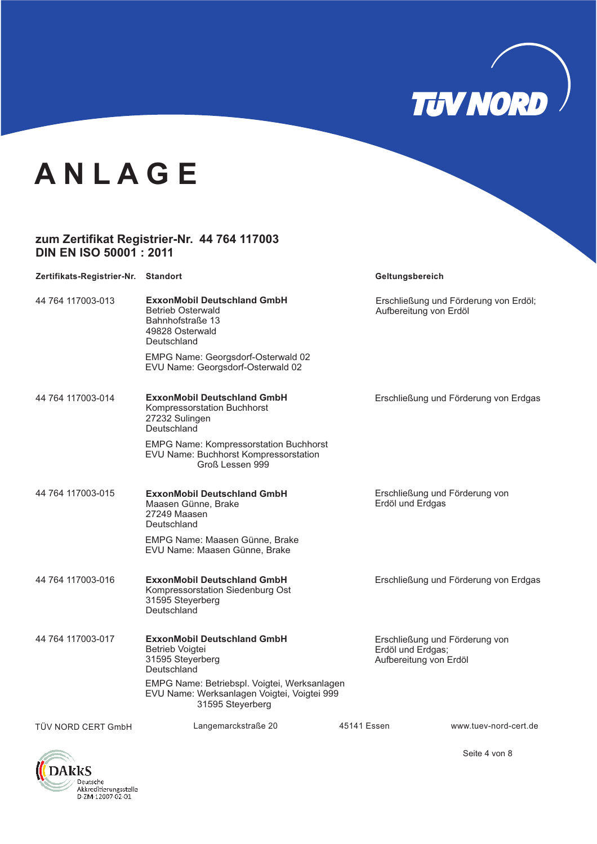

#### **zum Zertifikat Registrier-Nr. 44 764 117003 DIN EN ISO 50001 : 2011**

| Zertifikats-Registrier-Nr. Standort |                                                                                                                      | Geltungsbereich                                                               |  |
|-------------------------------------|----------------------------------------------------------------------------------------------------------------------|-------------------------------------------------------------------------------|--|
| 44 764 117003-013                   | <b>ExxonMobil Deutschland GmbH</b><br><b>Betrieb Osterwald</b><br>Bahnhofstraße 13<br>49828 Osterwald<br>Deutschland | Erschließung und Förderung von Erdöl;<br>Aufbereitung von Erdöl               |  |
|                                     | EMPG Name: Georgsdorf-Osterwald 02<br>EVU Name: Georgsdorf-Osterwald 02                                              |                                                                               |  |
| 44 764 117003-014                   | <b>ExxonMobil Deutschland GmbH</b><br>Kompressorstation Buchhorst<br>27232 Sulingen<br>Deutschland                   | Erschließung und Förderung von Erdgas                                         |  |
|                                     | <b>EMPG Name: Kompressorstation Buchhorst</b><br>EVU Name: Buchhorst Kompressorstation<br>Groß Lessen 999            |                                                                               |  |
| 44 764 117003-015                   | <b>ExxonMobil Deutschland GmbH</b><br>Maasen Günne, Brake<br>27249 Maasen<br>Deutschland                             | Erschließung und Förderung von<br>Erdöl und Erdgas                            |  |
|                                     | EMPG Name: Maasen Günne, Brake<br>EVU Name: Maasen Günne, Brake                                                      |                                                                               |  |
| 44 764 117003-016                   | <b>ExxonMobil Deutschland GmbH</b><br>Kompressorstation Siedenburg Ost<br>31595 Steyerberg<br>Deutschland            | Erschließung und Förderung von Erdgas                                         |  |
| 44 764 117003-017                   | <b>ExxonMobil Deutschland GmbH</b><br>Betrieb Voigtei<br>31595 Steyerberg<br>Deutschland                             | Erschließung und Förderung von<br>Erdöl und Erdgas;<br>Aufbereitung von Erdöl |  |
|                                     | EMPG Name: Betriebspl. Voigtei, Werksanlagen<br>EVU Name: Werksanlagen Voigtei, Voigtei 999<br>31595 Steyerberg      |                                                                               |  |
| TÜV NORD CERT GmbH                  | Langemarckstraße 20                                                                                                  | 45141 Essen<br>www.tuev-nord-cert.de                                          |  |

**DAkkS** Deutsche Akkreditierungsstelle<br>D-ZM-12007-02-01

Seite 4 von 8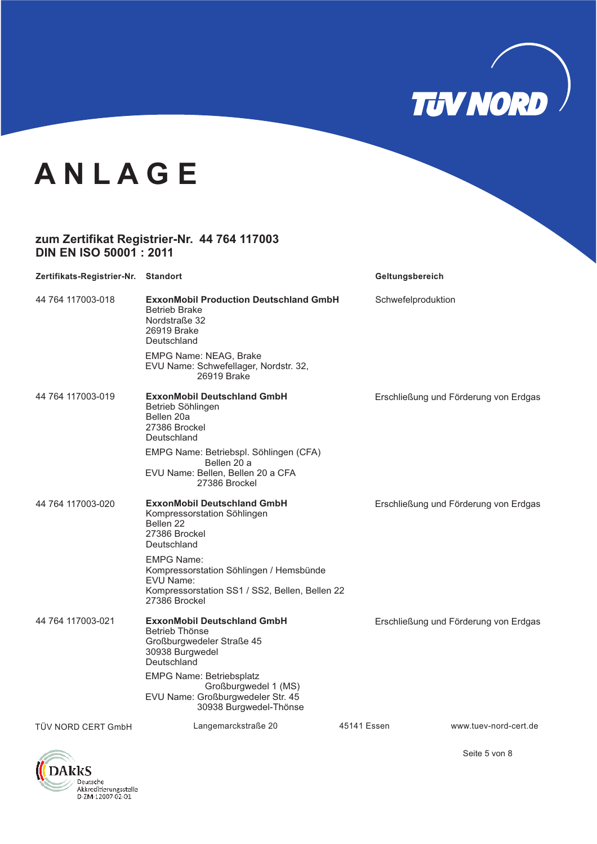

#### **zum Zertifikat Registrier-Nr. 44 764 117003 DIN EN ISO 50001 : 2011**

| Zertifikats-Registrier-Nr. Standort |                                                                                                                                              | Geltungsbereich    |                                       |
|-------------------------------------|----------------------------------------------------------------------------------------------------------------------------------------------|--------------------|---------------------------------------|
| 44 764 117003-018                   | <b>ExxonMobil Production Deutschland GmbH</b><br><b>Betrieb Brake</b><br>Nordstraße 32<br>26919 Brake<br>Deutschland                         | Schwefelproduktion |                                       |
|                                     | EMPG Name: NEAG, Brake<br>EVU Name: Schwefellager, Nordstr. 32,<br>26919 Brake                                                               |                    |                                       |
| 44 764 117003-019                   | <b>ExxonMobil Deutschland GmbH</b><br>Betrieb Söhlingen<br>Bellen 20a<br>27386 Brockel<br>Deutschland                                        |                    | Erschließung und Förderung von Erdgas |
|                                     | EMPG Name: Betriebspl. Söhlingen (CFA)<br>Bellen 20 a<br>EVU Name: Bellen, Bellen 20 a CFA<br>27386 Brockel                                  |                    |                                       |
| 44 764 117003-020                   | <b>ExxonMobil Deutschland GmbH</b><br>Kompressorstation Söhlingen<br>Bellen 22<br>27386 Brockel<br>Deutschland                               |                    | Erschließung und Förderung von Erdgas |
|                                     | <b>EMPG Name:</b><br>Kompressorstation Söhlingen / Hemsbünde<br>EVU Name:<br>Kompressorstation SS1 / SS2, Bellen, Bellen 22<br>27386 Brockel |                    |                                       |
| 44 764 117003-021                   | <b>ExxonMobil Deutschland GmbH</b><br>Betrieb Thönse<br>Großburgwedeler Straße 45<br>30938 Burgwedel<br>Deutschland                          |                    | Erschließung und Förderung von Erdgas |
|                                     | <b>EMPG Name: Betriebsplatz</b><br>Großburgwedel 1 (MS)<br>EVU Name: Großburgwedeler Str. 45<br>30938 Burgwedel-Thönse                       |                    |                                       |
| TÜV NORD CERT GmbH                  | Langemarckstraße 20                                                                                                                          | 45141 Essen        | www.tuev-nord-cert.de                 |



Seite 5 von 8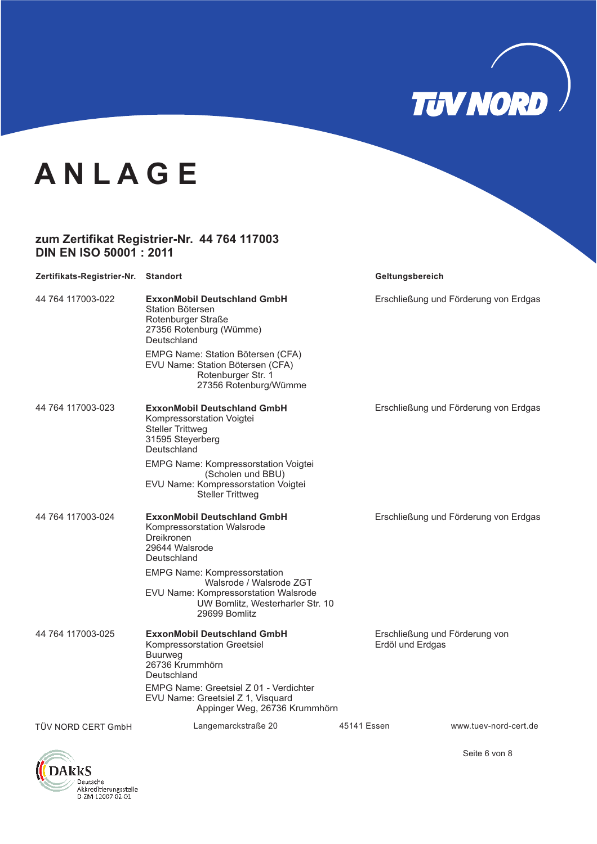

#### **zum Zertifikat Registrier-Nr. 44 764 117003 DIN EN ISO 50001 : 2011**

| Zertifikats-Registrier-Nr. Standort |                                                                                                                                                             |             | Geltungsbereich                                    |
|-------------------------------------|-------------------------------------------------------------------------------------------------------------------------------------------------------------|-------------|----------------------------------------------------|
| 44 764 117003-022                   | <b>ExxonMobil Deutschland GmbH</b><br>Station Bötersen<br>Rotenburger Straße<br>27356 Rotenburg (Wümme)<br>Deutschland                                      |             | Erschließung und Förderung von Erdgas              |
|                                     | EMPG Name: Station Bötersen (CFA)<br>EVU Name: Station Bötersen (CFA)<br>Rotenburger Str. 1<br>27356 Rotenburg/Wümme                                        |             |                                                    |
| 44 764 117003-023                   | <b>ExxonMobil Deutschland GmbH</b><br>Kompressorstation Voigtei<br><b>Steller Trittweg</b><br>31595 Steyerberg<br>Deutschland                               |             | Erschließung und Förderung von Erdgas              |
|                                     | <b>EMPG Name: Kompressorstation Voigtei</b><br>(Scholen und BBU)<br>EVU Name: Kompressorstation Voigtei<br><b>Steller Trittweg</b>                          |             |                                                    |
| 44 764 117003-024                   | <b>ExxonMobil Deutschland GmbH</b><br>Kompressorstation Walsrode<br>Dreikronen<br>29644 Walsrode<br>Deutschland                                             |             | Erschließung und Förderung von Erdgas              |
|                                     | <b>EMPG Name: Kompressorstation</b><br>Walsrode / Walsrode ZGT<br>EVU Name: Kompressorstation Walsrode<br>UW Bomlitz, Westerharler Str. 10<br>29699 Bomlitz |             |                                                    |
| 44 764 117003-025                   | <b>ExxonMobil Deutschland GmbH</b><br>Kompressorstation Greetsiel<br><b>Buurweg</b><br>26736 Krummhörn<br>Deutschland                                       |             | Erschließung und Förderung von<br>Erdöl und Erdgas |
|                                     | EMPG Name: Greetsiel Z 01 - Verdichter<br>EVU Name: Greetsiel Z 1, Visquard<br>Appinger Weg, 26736 Krummhörn                                                |             |                                                    |
| TÜV NORD CERT GmbH                  | Langemarckstraße 20                                                                                                                                         | 45141 Essen | www.tuev-nord-cert.de                              |



Seite 6 von 8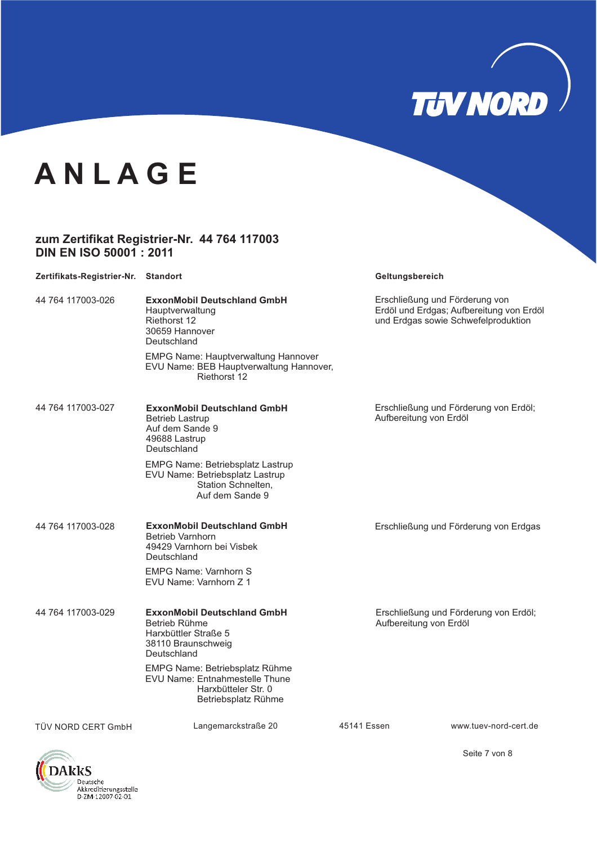

#### **zum Zertifikat Registrier-Nr. 44 764 117003 DIN EN ISO 50001 : 2011**

| Zertifikats-Registrier-Nr. Standort |                                                                                                                     | Geltungsbereich        |                                                                                                                   |
|-------------------------------------|---------------------------------------------------------------------------------------------------------------------|------------------------|-------------------------------------------------------------------------------------------------------------------|
| 44 764 117003-026                   | <b>ExxonMobil Deutschland GmbH</b><br>Hauptverwaltung<br><b>Riethorst 12</b><br>30659 Hannover<br>Deutschland       |                        | Erschließung und Förderung von<br>Erdöl und Erdgas; Aufbereitung von Erdöl<br>und Erdgas sowie Schwefelproduktion |
|                                     | <b>EMPG Name: Hauptverwaltung Hannover</b><br>EVU Name: BEB Hauptverwaltung Hannover,<br>Riethorst 12               |                        |                                                                                                                   |
| 44 764 117003-027                   | <b>ExxonMobil Deutschland GmbH</b><br><b>Betrieb Lastrup</b><br>Auf dem Sande 9<br>49688 Lastrup<br>Deutschland     | Aufbereitung von Erdöl | Erschließung und Förderung von Erdöl;                                                                             |
|                                     | <b>EMPG Name: Betriebsplatz Lastrup</b><br>EVU Name: Betriebsplatz Lastrup<br>Station Schnelten,<br>Auf dem Sande 9 |                        |                                                                                                                   |
| 44 764 117003-028                   | <b>ExxonMobil Deutschland GmbH</b><br><b>Betrieb Varnhorn</b><br>49429 Varnhorn bei Visbek<br>Deutschland           |                        | Erschließung und Förderung von Erdgas                                                                             |
|                                     | <b>EMPG Name: Varnhorn S</b><br>EVU Name: Varnhorn Z 1                                                              |                        |                                                                                                                   |
| 44 764 117003-029                   | <b>ExxonMobil Deutschland GmbH</b><br>Betrieb Rühme<br>Harxbüttler Straße 5<br>38110 Braunschweig<br>Deutschland    | Aufbereitung von Erdöl | Erschließung und Förderung von Erdöl;                                                                             |
|                                     | EMPG Name: Betriebsplatz Rühme<br>EVU Name: Entnahmestelle Thune<br>Harxbütteler Str. 0<br>Betriebsplatz Rühme      |                        |                                                                                                                   |
| TÜV NORD CERT GmbH                  | Langemarckstraße 20                                                                                                 | 45141 Essen            | www.tuev-nord-cert.de                                                                                             |



Seite 7 von 8